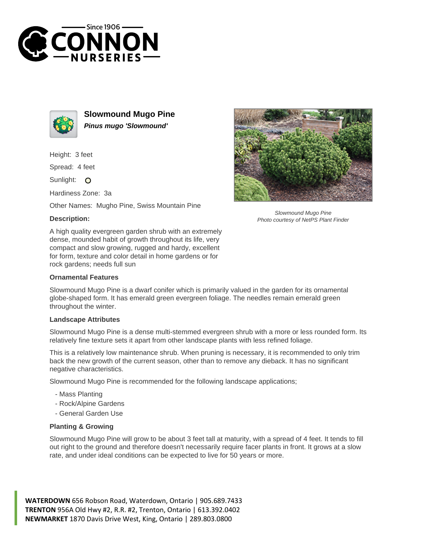



**Slowmound Mugo Pine Pinus mugo 'Slowmound'**

Height: 3 feet

Spread: 4 feet

Sunlight: O

Hardiness Zone: 3a

Other Names: Mugho Pine, Swiss Mountain Pine

## **Description:**



Slowmound Mugo Pine Photo courtesy of NetPS Plant Finder

A high quality evergreen garden shrub with an extremely dense, mounded habit of growth throughout its life, very compact and slow growing, rugged and hardy, excellent for form, texture and color detail in home gardens or for rock gardens; needs full sun

## **Ornamental Features**

Slowmound Mugo Pine is a dwarf conifer which is primarily valued in the garden for its ornamental globe-shaped form. It has emerald green evergreen foliage. The needles remain emerald green throughout the winter.

## **Landscape Attributes**

Slowmound Mugo Pine is a dense multi-stemmed evergreen shrub with a more or less rounded form. Its relatively fine texture sets it apart from other landscape plants with less refined foliage.

This is a relatively low maintenance shrub. When pruning is necessary, it is recommended to only trim back the new growth of the current season, other than to remove any dieback. It has no significant negative characteristics.

Slowmound Mugo Pine is recommended for the following landscape applications;

- Mass Planting
- Rock/Alpine Gardens
- General Garden Use

## **Planting & Growing**

Slowmound Mugo Pine will grow to be about 3 feet tall at maturity, with a spread of 4 feet. It tends to fill out right to the ground and therefore doesn't necessarily require facer plants in front. It grows at a slow rate, and under ideal conditions can be expected to live for 50 years or more.

**WATERDOWN** 656 Robson Road, Waterdown, Ontario | 905.689.7433 **TRENTON** 956A Old Hwy #2, R.R. #2, Trenton, Ontario | 613.392.0402 **NEWMARKET** 1870 Davis Drive West, King, Ontario | 289.803.0800